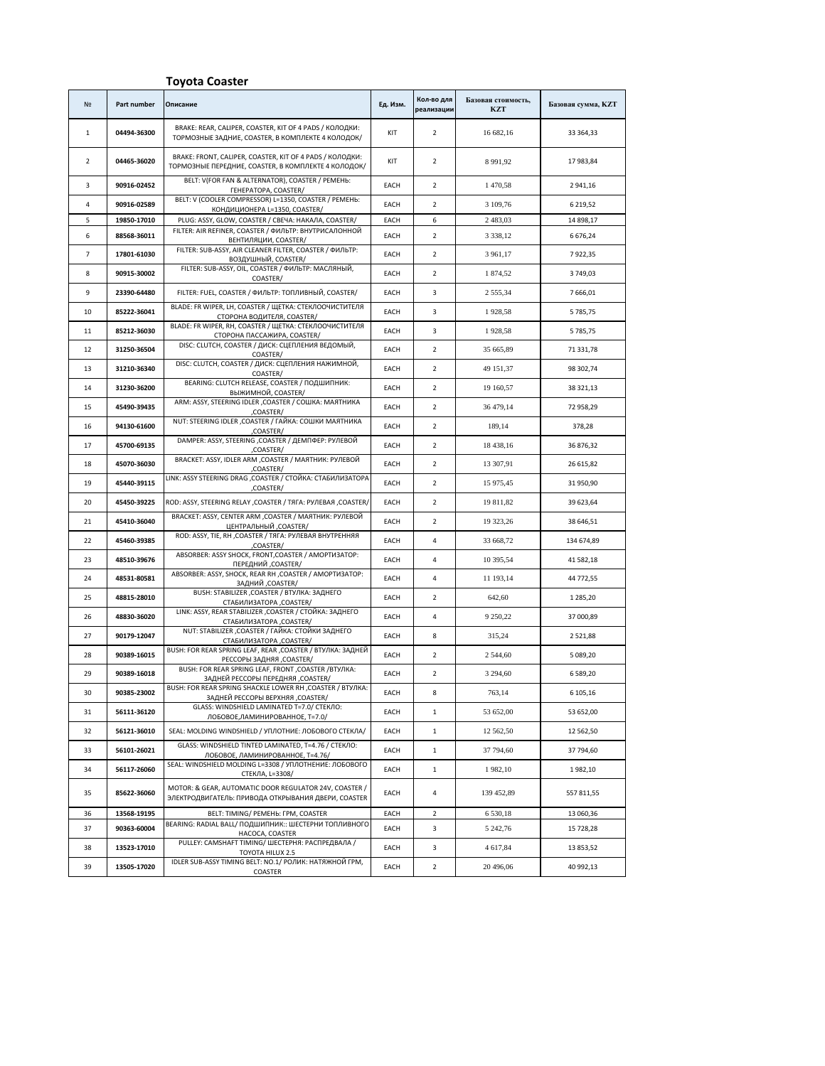## **Toyota Coaster** № **Part number Описание Ед. Изм. Кол-во для реализации Базовая стоимость, KZT Базовая сумма, KZT** 1 **04494-36300** BRAKE: REAR, CALIPER, COASTER, KIT OF 4 PADS / КОЛОДКИ: ТОРМОЗНЫЕ ЗАДНИЕ, COASTER, В КОМПЛЕКТЕ 4 КОЛОДОК/ KIT <sup>2</sup> 16 682,16 33 364,33 2 **04465-36020** BRAKE: FRONT, CALIPER, COASTER, KIT OF 4 PADS / КОЛОДКИ: БRAKE: FRONT, CALIPER, COASTER, BTO F4 PADS / ROJIOДRYI: KIT 2 8991,92 17 983,84<br>ТОРМОЗНЫЕ ПЕРЕДНИЕ, COASTER, В КОМПЛЕКТЕ 4 КОЛОДОК/ КТР 2 8991,92 1 393,84 3 **90916-02452 BELT: V(FOR FAN & ALTERNATOR), COASTER / РЕМЕНЬ** ГЕНЕРАТОРА, COASTER/ EACH <sup>2</sup> 1 470,58 2 941,16 4 **90916-02589** BELT: V (COOLER COMPRESSOR) L=1350, COASTER / РЕМЕНЬ: КОНДИЦИОНЕРА L=1350, COASTER/ EACH <sup>2</sup> 3 109,76 6 219,52 5 **19850-17010** PLUG: ASSY, GLOW, COASTER / CBEЧА: НАКАЛА, COASTER/ EACH 6 2483,03 14898,17 6 **88568-36011** FILTER: AIR REFINER, COASTER / ФИЛЬТР: ВНУТРИСАЛОННОЙ ER, COASTER / ФИЛЬТР: ВНУТРИСАЛОННОЙ ЕАСН 2 3 338,12 6 676,24 7 **17801-61030** FILTER: SUB-ASSY, AIR CLEANER FILTER, COASTER / ФИЛЬТР: ВОЗДУШНЫЙ, COASTER/ EACH <sup>2</sup> 3 961,17 7 922,35 8 **90915-30002** FILTER: SUB-ASSY, OIL, COASTER / ФИЛЬТР: МАСЛЯНЫЙ, COASTER/ Which Microsoft CACH 2 1 874,52 3 749,03 9 **23390-64480** FILTER: FUEL, COASTER / ФИЛЬТР: ТОПЛИВНЫЙ, COASTER/ EACH 3 2 555,34 7 666,01 10 **85222-36041** BLADE: FR WIPER, LH, COASTER / ЩЕТКА: СТЕКЛООЧИСТИТЕЛЯ ЕК, LH, LUASTER / ЩЕТКА: СТЕКЛООЧИСТИТЕЛЯ | ЕАСН | 3 1928,58 5 785,75<br>СТОРОНА ВОДИТЕЛЯ, COASTER/ СТАНИЦИИ | ЕАСН | 3 1928,58 5 785,75 11 **85212-36030** BLADE: FR WIPER, RH, COASTER / ЩЕТКА: СТЕКЛООЧИСТИТЕЛЯ СТОРОНА ПАССАЖИРА, COASTER/ EACH <sup>3</sup> 1 928,58 5 785,75 12 **31250-36504** DISC: CLUTCH, COASTER / ДИСК: СЦЕПЛЕНИЯ ВЕДОМЫЙ, Parchi edithermi belgombiri, EACH 2 35 665,89 71 331,78 13 **31210-36340** DISC: CLUTCH, COASTER / ДИСК: СЦЕПЛЕНИЯ НАЖИМНОЙ,<br>COASTER/ EACH 2 49 151,37 98 302,74 14 **31230-36200** BEARING: CLUTCH RELEASE, COASTER / ПОДШИПНИК: ВЫЖИМНОЙ, COASTER/ EACH <sup>2</sup> 19 160,57 38 321,13 15 **45490-39435** ARM: ASSY, STEERING IDLER ,COASTER / СОШКА: МАЯТНИКА Let, COASTER/ COLLINA: MANUTURE EACH 2 36 479,14 72 958,29 16 **94130-61600** NUT: STEERING IDLER ,COASTER / ГАЙКА: СОШКИ МАЯТНИКА ,COASTER/ EACH <sup>2</sup> 189,14 378,28 17 **45700-69135** DAMPER: ASSY, STEERING ,COASTER / ДЕМПФЕР: РУЛЕВОЙ ,COASTER/ EACH <sup>2</sup> 18 438,16 36 876,32 18 **45070-36030** BRACKET: ASSY, IDLER ARM ,COASTER / МАЯТНИК: РУЛЕВОЙ (COASTER/ MOMENTUME: 2. EACH 2 13 307,91 26 615,82 19 **45440-39115** LINK: ASSY STEERING DRAG ,COASTER / СТОЙКА: СТАБИЛИЗАТОРА COASTER/ BOOK CONTROL CHAPPENSIVER EACH 2 15 975,45 31 950,90 20 **45450-39225** ROD: ASSY, STEERING RELAY ,COASTER / TRIA: PY/IEBAR ,COASTER/ EACH 2 19 811,82 19 819,82 39 623,64 21 **45410-36040** BRACKET: ASSY, CENTER ARM ,COASTER / МАЯТНИК: РУЛЕВОЙ ENTIER ARM ,COASTER/ MANTHUR: PYJIEBOU **EACH** 2 19 323,26 38 646,51 22 **45460-39385** ROD: ASSY, TIE, RH ,COASTER / ТЯГА: РУЛЕВАЯ ВНУТРЕННЯЯ ,COASTER/ 134 674,89 23 **48510-39676** ABSORBER: ASSY SHOCK, FRONT,COASTER / АМОРТИЗАТОР: HOCK, FRONT, COASTER/ AMOPTIMSATOP: EACH 4 10 395,54 41 582,18 24 **48531-80581** ABSORBER: ASSY, SHOCK, REAR RH ,COASTER / АМОРТИЗАТОР: ОСК, КЕАК КН, СОАSTER / АМОРТИЗАТОР: | ЕАСН | 4 | 11 193,14 | 44 772,55<br>ЗАДНИЙ ,COASTER/ 25 **48815-28010** BUSH: STABILIZER ,COASTER / ВТУЛКА: ЗАДНЕГО СТАБИЛИЗАТОРА ,COASTER/ EACH <sup>2</sup> 642,60 1 285,20 26 **48830-36020** LINK: ASSY, REAR STABILIZER ,COASTER / СТОЙКА: ЗАДНЕГО - STABILIZER, COASTER/ CTOMBA. SALIFICIO **EACH** 4 9 250,22 37 000,89 27 **90179-12047** NUT: STABILIZER ,COASTER / ГАЙКА: СТОЙКИ ЗАДНЕГО СТАБИЛИЗАТОРА ,COASTER/ EACH <sup>8</sup> 315,24 2 521,88 28 **90389-16015 BUSH: FOR REAR SPRING LEAF, REAR ,COASTER / ВТУЛКА: ЗАЛНЕЙ** SPRING LEAF, REAR ,COASTER / BTYЛКА: ЗАДНЕИ | ЕАСН | 2 2 344,60 | 5 089,20<br>РЕССОРЫ ЗАЛНЯЯ СОАSTER / ДАТЕЛИЙ В ВОСН | 2 2 344,60 | 5 089,20 29 **90389-16018** BUSH: FOR REAR SPRING LEAF, FRONT ,COASTER /ВТУЛКА: OR REAR SPRING LEAF, FRONT ,COASTER / BT931 FACH 2 3 294,60 6 589,20<br>ЗАДНЕЙ РЕССОРЫ ПЕРЕДНЯЯ ,COASTER / EACH 2 3 294,60 6 589,20 30 **90385-23002 BUSH: FOR REAR SPRING SHACKLE LOWER RH ,COASTER / ВТУЛКА** EAR SPRING SHACKLE LOWER RH ,COASTER / BIYJIKA: | EACH | 8 | 763,14 6 105,16<br>ЗАДНЕЙ РЕССОРЫ ВЕРХНЯЯ .COASTER / 31 **56111-36120** GLASS: WINDSHIELD LAMINATED T=7.0/ СТЕКЛО: SS: WINDSHIELD LAIMINATED 1=7.0/ CTER/IO:<br>
ЛОБОВОЕ,ЛАМИНИРОВАННОЕ, T=7.0/ EACH 1 53 652,00 53 652,00 **56121-36010** SEAL: MOLDING WINDSHIELD / УПЛОТНИЕ: ЛОБОВОГО СТЕКЛА/ ЕАСН 1 1 12 562,50 12 562,50 12 562,50 33 **56101-26021** GLASS: WINDSHIELD TINTED LAMINATED, T=4.76 / СТЕКЛО: VINDSHIELD IINTED LAININATED, 1=4.76/ CTENJIO:<br>ЛОБОВОЕ, ЛАМИНИРОВАННОЕ, T=4.76/ **EACH** 1 37 794,60 37 794,60 34 **56117-26060** SEAL: WINDSHIELD MOLDING L=3308 / УПЛОТНЕНИЕ: ЛОБОВОГО CTEKЛA, L=3308/ STDIOTHEHME: ЛОВОВОГО | ЕАСН | 1 | 1982,10 1982,10 1982,10 35 **85622-36060** MOTOR: & GEAR, AUTOMATIC DOOR REGULATOR 24V, COASTER / ЭЛЕКТРОДВИГАТЕЛЬ: ПРИВОДА ОТКРЫВАНИЯ ДВЕРИ, COASTER EACH 4 139 452,89 557 811,55 **13568-19195** BELT: TIMING/ PEMEHB: FPM, COASTER EACH 2 6 530,18 13 060,36 37 **90363-60004 EARING: RADIAL BALL/ ПОДШИПНИК:: ШЕСТЕРНИ ТОПЛИВНОГС** НАСОСА, COASTER EACH 3 5 242,76 15 728,28 38 **13523-17010** PULLEY: CAMSHAFT TIMING/ ШЕСТЕРНЯ: РАСПРЕДВАЛА / TOYOTA HILUX 2.5 EACH 3 4 617,84 13 853,52 39 **13505-17020** IDLER SUB-ASSY TIMING BELT: NO.1/ РОЛИК: НАТЯЖНОЙ ГРМ, COASTER EACH 2 20 496,06 40 992,13